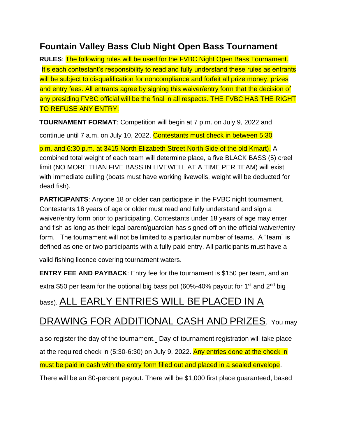## **Fountain Valley Bass Club Night Open Bass Tournament**

**RULES**: The following rules will be used for the FVBC Night Open Bass Tournament. It's each contestant's responsibility to read and fully understand these rules as entrants will be subject to disqualification for noncompliance and forfeit all prize money, prizes and entry fees. All entrants agree by signing this waiver/entry form that the decision of any presiding FVBC official will be the final in all respects. THE FVBC HAS THE RIGHT TO REFUSE ANY ENTRY.

**TOURNAMENT FORMAT**: Competition will begin at 7 p.m. on July 9, 2022 and

continue until 7 a.m. on July 10, 2022. Contestants must check in between 5:30

p.m. and 6:30 p.m. at 3415 North Elizabeth Street North Side of the old Kmart). A combined total weight of each team will determine place, a five BLACK BASS (5) creel limit (NO MORE THAN FIVE BASS IN LIVEWELL AT A TIME PER TEAM) will exist with immediate culling (boats must have working livewells, weight will be deducted for dead fish).

**PARTICIPANTS:** Anyone 18 or older can participate in the FVBC night tournament. Contestants 18 years of age or older must read and fully understand and sign a waiver/entry form prior to participating. Contestants under 18 years of age may enter and fish as long as their legal parent/guardian has signed off on the official waiver/entry form. The tournament will not be limited to a particular number of teams. A "team" is defined as one or two participants with a fully paid entry. All participants must have a

valid fishing licence covering tournament waters.

**ENTRY FEE AND PAYBACK**: Entry fee for the tournament is \$150 per team, and an

extra \$50 per team for the optional big bass pot  $(60\% - 40\%$  payout for 1<sup>st</sup> and 2<sup>nd</sup> big

## bass). ALL EARLY ENTRIES WILL BEPLACED IN A

## DRAWING FOR ADDITIONAL CASH AND PRIZES. You may

also register the day of the tournament. Day-of-tournament registration will take place at the required check in (5:30-6:30) on July 9, 2022. Any entries done at the check in

must be paid in cash with the entry form filled out and placed in a sealed envelope.

There will be an 80-percent payout. There will be \$1,000 first place guaranteed, based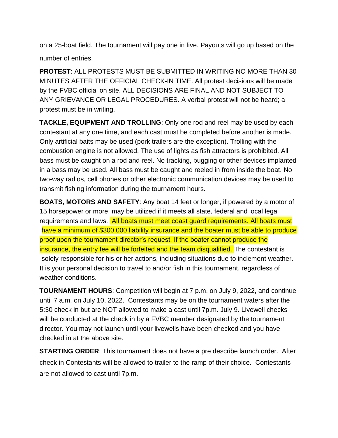on a 25-boat field. The tournament will pay one in five. Payouts will go up based on the number of entries.

**PROTEST**: ALL PROTESTS MUST BE SUBMITTED IN WRITING NO MORE THAN 30 MINUTES AFTER THE OFFICIAL CHECK-IN TIME. All protest decisions will be made by the FVBC official on site. ALL DECISIONS ARE FINAL AND NOT SUBJECT TO ANY GRIEVANCE OR LEGAL PROCEDURES. A verbal protest will not be heard; a protest must be in writing.

**TACKLE, EQUIPMENT AND TROLLING**: Only one rod and reel may be used by each contestant at any one time, and each cast must be completed before another is made. Only artificial baits may be used (pork trailers are the exception). Trolling with the combustion engine is not allowed. The use of lights as fish attractors is prohibited. All bass must be caught on a rod and reel. No tracking, bugging or other devices implanted in a bass may be used. All bass must be caught and reeled in from inside the boat. No two-way radios, cell phones or other electronic communication devices may be used to transmit fishing information during the tournament hours.

**BOATS, MOTORS AND SAFETY**: Any boat 14 feet or longer, if powered by a motor of 15 horsepower or more, may be utilized if it meets all state, federal and local legal requirements and laws. All boats must meet coast guard requirements. All boats must have a minimum of \$300,000 liability insurance and the boater must be able to produce proof upon the tournament director's request. If the boater cannot produce the insurance, the entry fee will be forfeited and the team disqualified. The contestant is solely responsible for his or her actions, including situations due to inclement weather. It is your personal decision to travel to and/or fish in this tournament, regardless of weather conditions.

**TOURNAMENT HOURS**: Competition will begin at 7 p.m. on July 9, 2022, and continue until 7 a.m. on July 10, 2022. Contestants may be on the tournament waters after the 5:30 check in but are NOT allowed to make a cast until 7p.m. July 9. Livewell checks will be conducted at the check in by a FVBC member designated by the tournament director. You may not launch until your livewells have been checked and you have checked in at the above site.

**STARTING ORDER**: This tournament does not have a pre describe launch order. After check in Contestants will be allowed to trailer to the ramp of their choice. Contestants are not allowed to cast until 7p.m.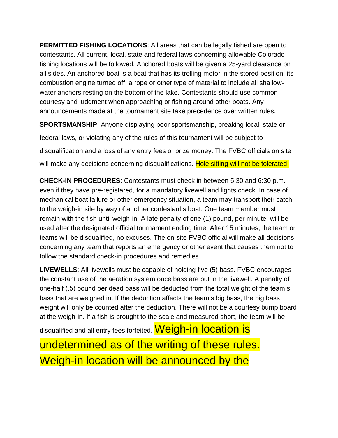**PERMITTED FISHING LOCATIONS**: All areas that can be legally fished are open to contestants. All current, local, state and federal laws concerning allowable Colorado fishing locations will be followed. Anchored boats will be given a 25-yard clearance on all sides. An anchored boat is a boat that has its trolling motor in the stored position, its combustion engine turned off, a rope or other type of material to include all shallowwater anchors resting on the bottom of the lake. Contestants should use common courtesy and judgment when approaching or fishing around other boats. Any announcements made at the tournament site take precedence over written rules.

**SPORTSMANSHIP**: Anyone displaying poor sportsmanship, breaking local, state or federal laws, or violating any of the rules of this tournament will be subject to disqualification and a loss of any entry fees or prize money. The FVBC officials on site will make any decisions concerning disqualifications. Hole sitting will not be tolerated.

**CHECK-IN PROCEDURES**: Contestants must check in between 5:30 and 6:30 p.m. even if they have pre-registared, for a mandatory livewell and lights check. In case of mechanical boat failure or other emergency situation, a team may transport their catch to the weigh-in site by way of another contestant's boat. One team member must remain with the fish until weigh-in. A late penalty of one (1) pound, per minute, will be used after the designated official tournament ending time. After 15 minutes, the team or teams will be disqualified, no excuses. The on-site FVBC official will make all decisions concerning any team that reports an emergency or other event that causes them not to follow the standard check-in procedures and remedies.

**LIVEWELLS**: All livewells must be capable of holding five (5) bass. FVBC encourages the constant use of the aeration system once bass are put in the livewell. A penalty of one-half (.5) pound per dead bass will be deducted from the total weight of the team's bass that are weighed in. If the deduction affects the team's big bass, the big bass weight will only be counted after the deduction. There will not be a courtesy bump board at the weigh-in. If a fish is brought to the scale and measured short, the team will be

disqualified and all entry fees forfeited. Weigh-in location is undetermined as of the writing of these rules. Weigh-in location will be announced by the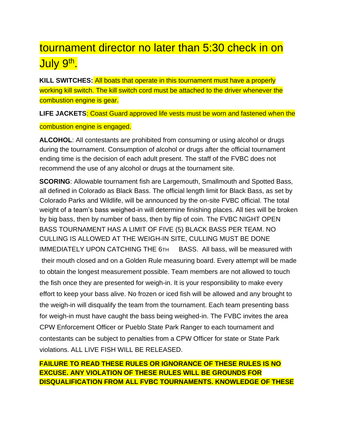## tournament director no later than 5:30 check in on July 9<sup>th</sup>.

**KILL SWITCHES:** All boats that operate in this tournament must have a properly working kill switch. The kill switch cord must be attached to the driver whenever the combustion engine is gear.

**LIFE JACKETS**: Coast Guard approved life vests must be worn and fastened when the combustion engine is engaged.

**ALCOHOL**: All contestants are prohibited from consuming or using alcohol or drugs during the tournament. Consumption of alcohol or drugs after the official tournament ending time is the decision of each adult present. The staff of the FVBC does not recommend the use of any alcohol or drugs at the tournament site.

**SCORING:** Allowable tournament fish are Largemouth, Smallmouth and Spotted Bass, all defined in Colorado as Black Bass. The official length limit for Black Bass, as set by Colorado Parks and Wildlife, will be announced by the on-site FVBC official. The total weight of a team's bass weighed-in will determine finishing places. All ties will be broken by big bass, then by number of bass, then by flip of coin. The FVBC NIGHT OPEN BASS TOURNAMENT HAS A LIMIT OF FIVE (5) BLACK BASS PER TEAM. NO CULLING IS ALLOWED AT THE WEIGH-IN SITE, CULLING MUST BE DONE IMMEDIATELY UPON CATCHING THE 6TH BASS. All bass, will be measured with their mouth closed and on a Golden Rule measuring board. Every attempt will be made to obtain the longest measurement possible. Team members are not allowed to touch the fish once they are presented for weigh-in. It is your responsibility to make every effort to keep your bass alive. No frozen or iced fish will be allowed and any brought to the weigh-in will disqualify the team from the tournament. Each team presenting bass for weigh-in must have caught the bass being weighed-in. The FVBC invites the area CPW Enforcement Officer or Pueblo State Park Ranger to each tournament and contestants can be subject to penalties from a CPW Officer for state or State Park violations. ALL LIVE FISH WILL BE RELEASED.

**FAILURE TO READ THESE RULES OR IGNORANCE OF THESE RULES IS NO EXCUSE. ANY VIOLATION OF THESE RULES WILL BE GROUNDS FOR DISQUALIFICATION FROM ALL FVBC TOURNAMENTS. KNOWLEDGE OF THESE**